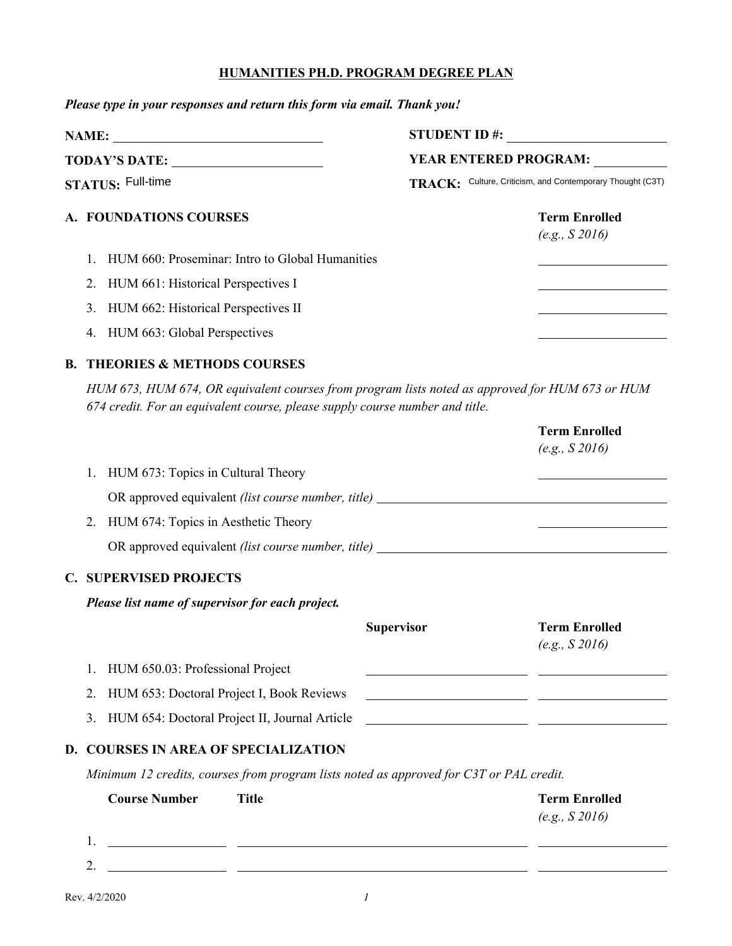## **HUMANITIES PH.D. PROGRAM DEGREE PLAN**

*Please type in your responses and return this form via email. Thank you!*

| NAME:<br><b>TODAY'S DATE:</b><br><b>STATUS: Full-time</b> |                                        | <b>STUDENT ID#:</b><br><b>YEAR ENTERED PROGRAM:</b><br>TRACK: Culture, Criticism, and Contemporary Thought (C3T) |  |  |  |                                                    |  |                                       |
|-----------------------------------------------------------|----------------------------------------|------------------------------------------------------------------------------------------------------------------|--|--|--|----------------------------------------------------|--|---------------------------------------|
|                                                           |                                        |                                                                                                                  |  |  |  | A. FOUNDATIONS COURSES                             |  | <b>Term Enrolled</b><br>(e.g., S2016) |
|                                                           |                                        |                                                                                                                  |  |  |  | 1. HUM 660: Proseminar: Intro to Global Humanities |  |                                       |
|                                                           | 2. HUM 661: Historical Perspectives I  |                                                                                                                  |  |  |  |                                                    |  |                                       |
|                                                           | 3. HUM 662: Historical Perspectives II |                                                                                                                  |  |  |  |                                                    |  |                                       |
|                                                           | 4. HUM 663: Global Perspectives        |                                                                                                                  |  |  |  |                                                    |  |                                       |

## **B. THEORIES & METHODS COURSES**

*HUM 673, HUM 674, OR equivalent courses from program lists noted as approved for HUM 673 or HUM 674 credit. For an equivalent course, please supply course number and title.*

|    |                                                  |                   | <b>Term Enrolled</b><br>(e.g., S2016)                      |
|----|--------------------------------------------------|-------------------|------------------------------------------------------------|
| 1. | HUM 673: Topics in Cultural Theory               |                   |                                                            |
|    |                                                  |                   |                                                            |
|    | 2. HUM 674: Topics in Aesthetic Theory           |                   |                                                            |
|    |                                                  |                   |                                                            |
|    | <b>C. SUPERVISED PROJECTS</b>                    |                   |                                                            |
|    | Please list name of supervisor for each project. |                   |                                                            |
|    |                                                  | <b>Supervisor</b> | <b>Term Enrolled</b><br>(e.g., S2016)                      |
|    | HUM 650.03: Professional Project                 |                   |                                                            |
|    | 2. HUM 653: Doctoral Project I, Book Reviews     |                   | <u> 1989 - Johann Barn, amerikansk politiker (d. 1989)</u> |
|    | 3. HUM 654: Doctoral Project II, Journal Article |                   |                                                            |
|    | D. COURSES IN AREA OF SPECIALIZATION             |                   |                                                            |

*Minimum 12 credits, courses from program lists noted as approved for C3T or PAL credit.*

| <b>Course Number</b> | Title | <b>Term Enrolled</b> |
|----------------------|-------|----------------------|
|                      |       | (e.g., S2016)        |
| 1.                   |       |                      |
| າ<br>٠.              |       |                      |